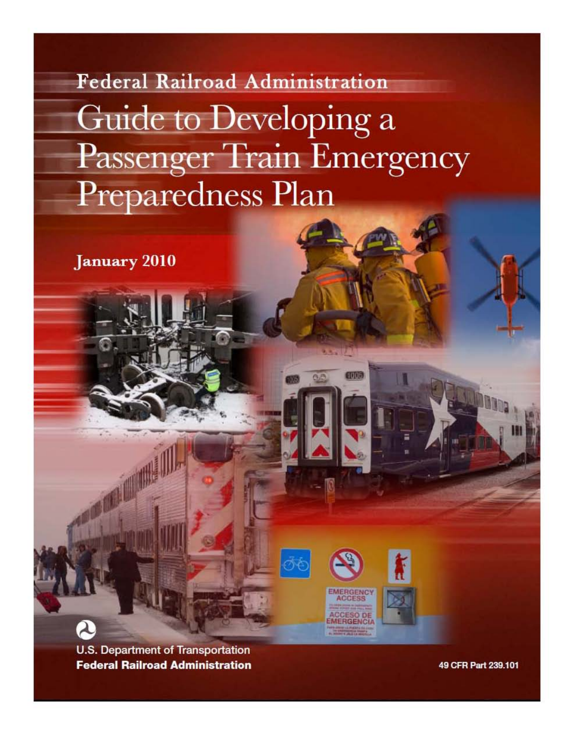**Federal Railroad Administration** Guide to Developing a Passenger Train Emergency Preparedness Plan

**January 2010** 

**TAIL ON MINE.** 

**U.S. Department of Transportation Federal Railroad Administration** 

49 CFR Part 239.101

**MERGENC**<br>ACCESS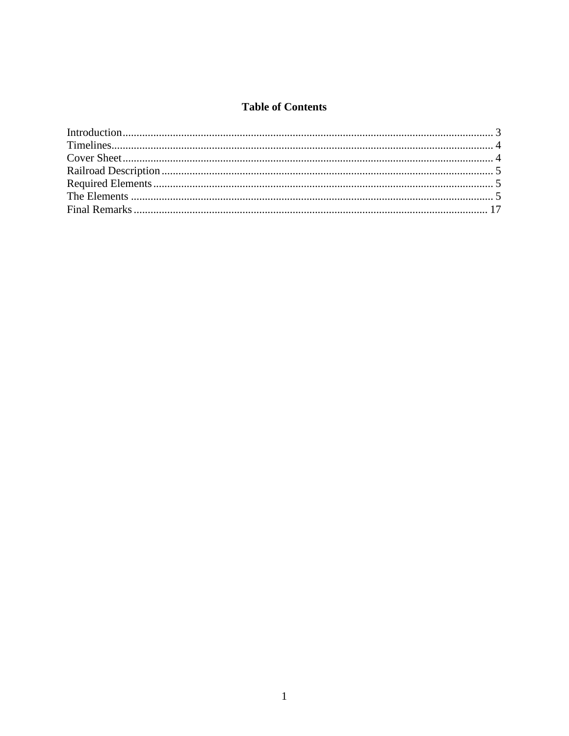# **Table of Contents**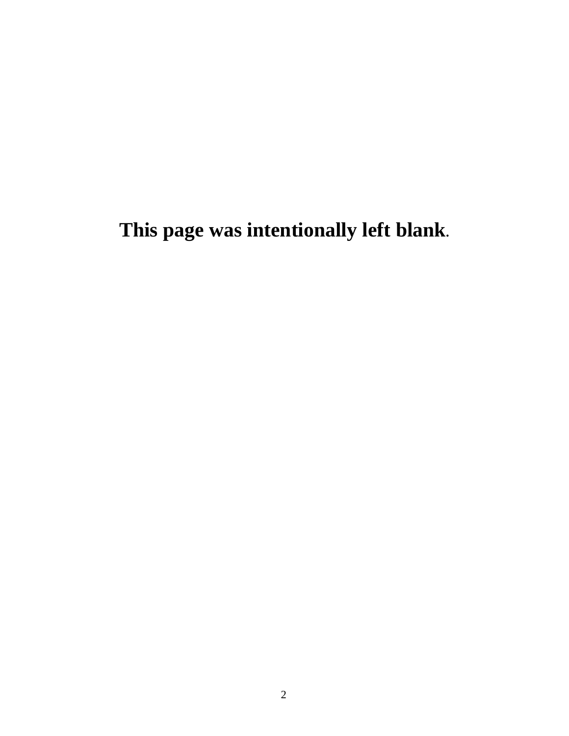**This page was intentionally left blank.**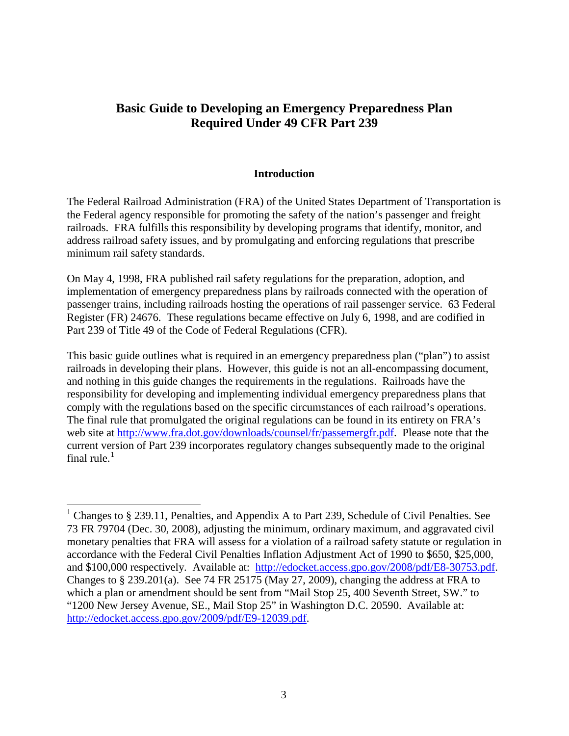# **Basic Guide to Developing an Emergency Preparedness Plan Required Under 49 CFR Part 239**

#### **Introduction**

<span id="page-3-0"></span>The Federal Railroad Administration (FRA) of the United States Department of Transportation is the Federal agency responsible for promoting the safety of the nation's passenger and freight railroads. FRA fulfills this responsibility by developing programs that identify, monitor, and address railroad safety issues, and by promulgating and enforcing regulations that prescribe minimum rail safety standards.

On May 4, 1998, FRA published rail safety regulations for the preparation, adoption, and implementation of emergency preparedness plans by railroads connected with the operation of passenger trains, including railroads hosting the operations of rail passenger service. 63 Federal Register (FR) 24676. These regulations became effective on July 6, 1998, and are codified in Part 239 of Title 49 of the Code of Federal Regulations (CFR).

This basic guide outlines what is required in an emergency preparedness plan ("plan") to assist railroads in developing their plans. However, this guide is not an all-encompassing document, and nothing in this guide changes the requirements in the regulations. Railroads have the responsibility for developing and implementing individual emergency preparedness plans that comply with the regulations based on the specific circumstances of each railroad's operations. The final rule that promulgated the original regulations can be found in its entirety on FRA's web site at [http://www.fra.dot.gov/downloads/counsel/fr/passemergfr.pdf.](http://www.fra.dot.gov/downloads/counsel/fr/passemergfr.pdf) Please note that the current version of Part 239 incorporates regulatory changes subsequently made to the original final rule. $<sup>1</sup>$  $<sup>1</sup>$  $<sup>1</sup>$ </sup>

<span id="page-3-1"></span><sup>&</sup>lt;sup>1</sup> Changes to § 239.11, Penalties, and Appendix A to Part 239, Schedule of Civil Penalties. See 73 FR 79704 (Dec. 30, 2008), adjusting the minimum, ordinary maximum, and aggravated civil monetary penalties that FRA will assess for a violation of a railroad safety statute or regulation in accordance with the Federal Civil Penalties Inflation Adjustment Act of 1990 to \$650, \$25,000, and \$100,000 respectively. Available at: [http://edocket.access.gpo.gov/2008/pdf/E8-30753.pdf.](http://edocket.access.gpo.gov/2008/pdf/E8-30753.pdf) Changes to § 239.201(a). See 74 FR 25175 (May 27, 2009), changing the address at FRA to which a plan or amendment should be sent from "Mail Stop 25, 400 Seventh Street, SW." to "1200 New Jersey Avenue, SE., Mail Stop 25" in Washington D.C. 20590. Available at: [http://edocket.access.gpo.gov/2009/pdf/E9-12039.pdf.](http://edocket.access.gpo.gov/2009/pdf/E9-12039.pdf)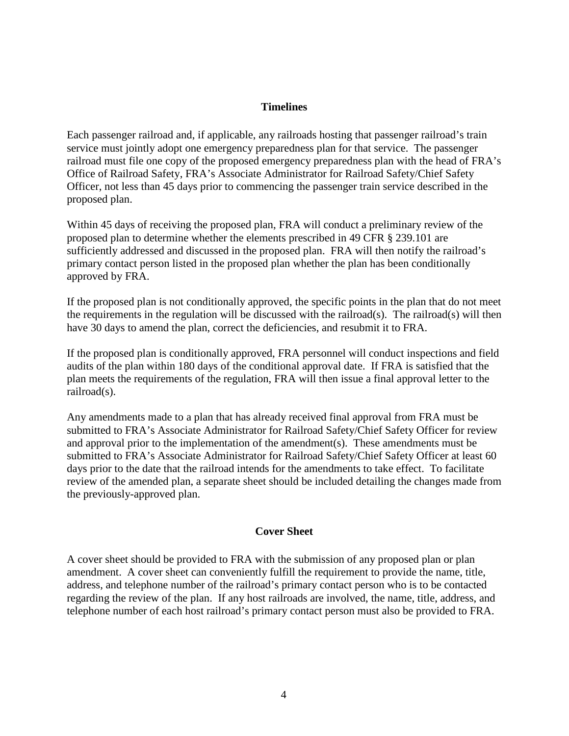## **Timelines**

<span id="page-4-0"></span>Each passenger railroad and, if applicable, any railroads hosting that passenger railroad's train service must jointly adopt one emergency preparedness plan for that service. The passenger railroad must file one copy of the proposed emergency preparedness plan with the head of FRA's Office of Railroad Safety, FRA's Associate Administrator for Railroad Safety/Chief Safety Officer, not less than 45 days prior to commencing the passenger train service described in the proposed plan.

Within 45 days of receiving the proposed plan, FRA will conduct a preliminary review of the proposed plan to determine whether the elements prescribed in 49 CFR § 239.101 are sufficiently addressed and discussed in the proposed plan. FRA will then notify the railroad's primary contact person listed in the proposed plan whether the plan has been conditionally approved by FRA.

If the proposed plan is not conditionally approved, the specific points in the plan that do not meet the requirements in the regulation will be discussed with the railroad(s). The railroad(s) will then have 30 days to amend the plan, correct the deficiencies, and resubmit it to FRA.

If the proposed plan is conditionally approved, FRA personnel will conduct inspections and field audits of the plan within 180 days of the conditional approval date. If FRA is satisfied that the plan meets the requirements of the regulation, FRA will then issue a final approval letter to the railroad(s).

Any amendments made to a plan that has already received final approval from FRA must be submitted to FRA's Associate Administrator for Railroad Safety/Chief Safety Officer for review and approval prior to the implementation of the amendment(s). These amendments must be submitted to FRA's Associate Administrator for Railroad Safety/Chief Safety Officer at least 60 days prior to the date that the railroad intends for the amendments to take effect. To facilitate review of the amended plan, a separate sheet should be included detailing the changes made from the previously-approved plan.

# **Cover Sheet**

<span id="page-4-1"></span>A cover sheet should be provided to FRA with the submission of any proposed plan or plan amendment. A cover sheet can conveniently fulfill the requirement to provide the name, title, address, and telephone number of the railroad's primary contact person who is to be contacted regarding the review of the plan. If any host railroads are involved, the name, title, address, and telephone number of each host railroad's primary contact person must also be provided to FRA.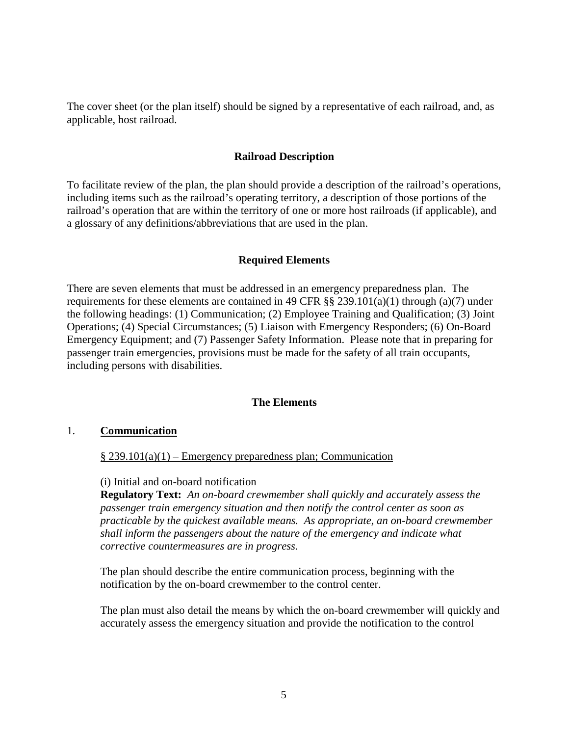<span id="page-5-0"></span>The cover sheet (or the plan itself) should be signed by a representative of each railroad, and, as applicable, host railroad.

#### **Railroad Description**

To facilitate review of the plan, the plan should provide a description of the railroad's operations, including items such as the railroad's operating territory, a description of those portions of the railroad's operation that are within the territory of one or more host railroads (if applicable), and a glossary of any definitions/abbreviations that are used in the plan.

#### **Required Elements**

<span id="page-5-1"></span>There are seven elements that must be addressed in an emergency preparedness plan. The requirements for these elements are contained in 49 CFR  $\S$ § 239.101(a)(1) through (a)(7) under the following headings: (1) Communication; (2) Employee Training and Qualification; (3) Joint Operations; (4) Special Circumstances; (5) Liaison with Emergency Responders; (6) On-Board Emergency Equipment; and (7) Passenger Safety Information. Please note that in preparing for passenger train emergencies, provisions must be made for the safety of all train occupants, including persons with disabilities.

#### **The Elements**

#### <span id="page-5-2"></span>1. **Communication**

 $§$  239.101(a)(1) – Emergency preparedness plan; Communication

#### (i) Initial and on-board notification

**Regulatory Text:** *An on-board crewmember shall quickly and accurately assess the passenger train emergency situation and then notify the control center as soon as practicable by the quickest available means. As appropriate, an on-board crewmember shall inform the passengers about the nature of the emergency and indicate what corrective countermeasures are in progress.*

The plan should describe the entire communication process, beginning with the notification by the on-board crewmember to the control center.

The plan must also detail the means by which the on-board crewmember will quickly and accurately assess the emergency situation and provide the notification to the control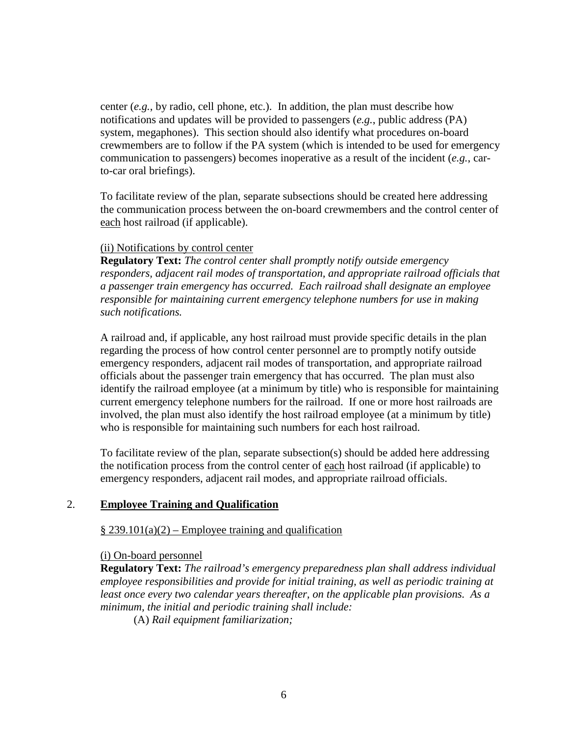center (*e.g.*, by radio, cell phone, etc.). In addition, the plan must describe how notifications and updates will be provided to passengers (*e.g.*, public address (PA) system, megaphones). This section should also identify what procedures on-board crewmembers are to follow if the PA system (which is intended to be used for emergency communication to passengers) becomes inoperative as a result of the incident (*e.g.*, carto-car oral briefings).

To facilitate review of the plan, separate subsections should be created here addressing the communication process between the on-board crewmembers and the control center of each host railroad (if applicable).

## (ii) Notifications by control center

**Regulatory Text:** *The control center shall promptly notify outside emergency responders, adjacent rail modes of transportation, and appropriate railroad officials that a passenger train emergency has occurred. Each railroad shall designate an employee responsible for maintaining current emergency telephone numbers for use in making such notifications.*

A railroad and, if applicable, any host railroad must provide specific details in the plan regarding the process of how control center personnel are to promptly notify outside emergency responders, adjacent rail modes of transportation, and appropriate railroad officials about the passenger train emergency that has occurred. The plan must also identify the railroad employee (at a minimum by title) who is responsible for maintaining current emergency telephone numbers for the railroad. If one or more host railroads are involved, the plan must also identify the host railroad employee (at a minimum by title) who is responsible for maintaining such numbers for each host railroad.

To facilitate review of the plan, separate subsection(s) should be added here addressing the notification process from the control center of each host railroad (if applicable) to emergency responders, adjacent rail modes, and appropriate railroad officials.

## 2. **Employee Training and Qualification**

#### $§$  239.101(a)(2) – Employee training and qualification

#### (i) On-board personnel

**Regulatory Text:** *The railroad's emergency preparedness plan shall address individual employee responsibilities and provide for initial training, as well as periodic training at least once every two calendar years thereafter, on the applicable plan provisions. As a minimum, the initial and periodic training shall include:*

(A) *Rail equipment familiarization;*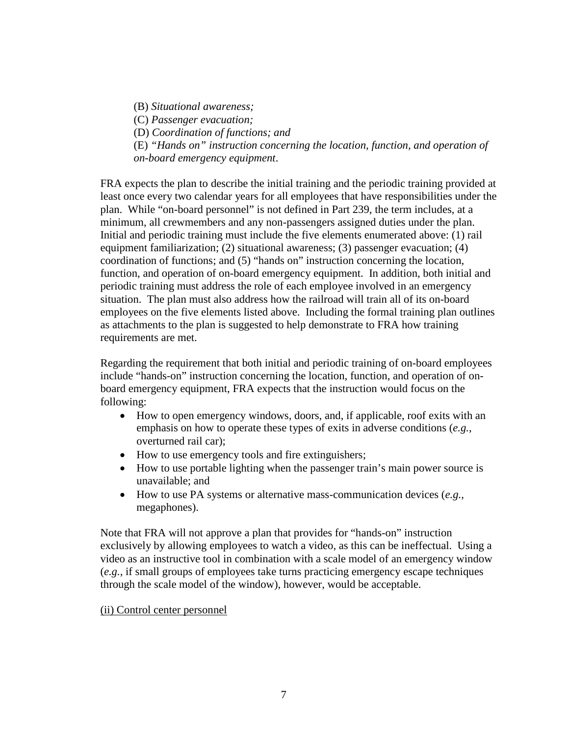(B) *Situational awareness;* (C) *Passenger evacuation;* (D) *Coordination of functions; and* (E) *"Hands on" instruction concerning the location, function, and operation of on-board emergency equipment*.

FRA expects the plan to describe the initial training and the periodic training provided at least once every two calendar years for all employees that have responsibilities under the plan. While "on-board personnel" is not defined in Part 239, the term includes, at a minimum, all crewmembers and any non-passengers assigned duties under the plan. Initial and periodic training must include the five elements enumerated above: (1) rail equipment familiarization; (2) situational awareness; (3) passenger evacuation; (4) coordination of functions; and (5) "hands on" instruction concerning the location, function, and operation of on-board emergency equipment. In addition, both initial and periodic training must address the role of each employee involved in an emergency situation. The plan must also address how the railroad will train all of its on-board employees on the five elements listed above. Including the formal training plan outlines as attachments to the plan is suggested to help demonstrate to FRA how training requirements are met.

Regarding the requirement that both initial and periodic training of on-board employees include "hands-on" instruction concerning the location, function, and operation of onboard emergency equipment, FRA expects that the instruction would focus on the following:

- How to open emergency windows, doors, and, if applicable, roof exits with an emphasis on how to operate these types of exits in adverse conditions (*e.g.*, overturned rail car);
- How to use emergency tools and fire extinguishers;
- How to use portable lighting when the passenger train's main power source is unavailable; and
- How to use PA systems or alternative mass-communication devices (*e.g.*, megaphones).

Note that FRA will not approve a plan that provides for "hands-on" instruction exclusively by allowing employees to watch a video, as this can be ineffectual. Using a video as an instructive tool in combination with a scale model of an emergency window (*e.g.*, if small groups of employees take turns practicing emergency escape techniques through the scale model of the window), however, would be acceptable.

## (ii) Control center personnel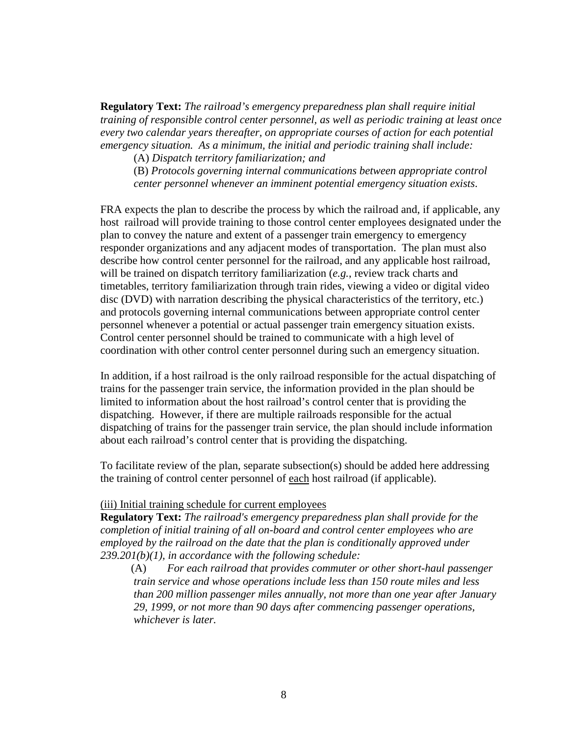**Regulatory Text:** *The railroad's emergency preparedness plan shall require initial training of responsible control center personnel, as well as periodic training at least once every two calendar years thereafter, on appropriate courses of action for each potential emergency situation. As a minimum, the initial and periodic training shall include:*

(A) *Dispatch territory familiarization; and*

(B) *Protocols governing internal communications between appropriate control center personnel whenever an imminent potential emergency situation exists*.

FRA expects the plan to describe the process by which the railroad and, if applicable, any host railroad will provide training to those control center employees designated under the plan to convey the nature and extent of a passenger train emergency to emergency responder organizations and any adjacent modes of transportation. The plan must also describe how control center personnel for the railroad, and any applicable host railroad, will be trained on dispatch territory familiarization (*e.g.*, review track charts and timetables, territory familiarization through train rides, viewing a video or digital video disc (DVD) with narration describing the physical characteristics of the territory, etc.) and protocols governing internal communications between appropriate control center personnel whenever a potential or actual passenger train emergency situation exists. Control center personnel should be trained to communicate with a high level of coordination with other control center personnel during such an emergency situation.

In addition, if a host railroad is the only railroad responsible for the actual dispatching of trains for the passenger train service, the information provided in the plan should be limited to information about the host railroad's control center that is providing the dispatching. However, if there are multiple railroads responsible for the actual dispatching of trains for the passenger train service, the plan should include information about each railroad's control center that is providing the dispatching.

To facilitate review of the plan, separate subsection(s) should be added here addressing the training of control center personnel of each host railroad (if applicable).

#### (iii) Initial training schedule for current employees

**Regulatory Text:** *The railroad's emergency preparedness plan shall provide for the completion of initial training of all on-board and control center employees who are employed by the railroad on the date that the plan is conditionally approved under 239.201(b)(1), in accordance with the following schedule:*

(A) *For each railroad that provides commuter or other short-haul passenger train service and whose operations include less than 150 route miles and less than 200 million passenger miles annually, not more than one year after January 29, 1999, or not more than 90 days after commencing passenger operations, whichever is later.*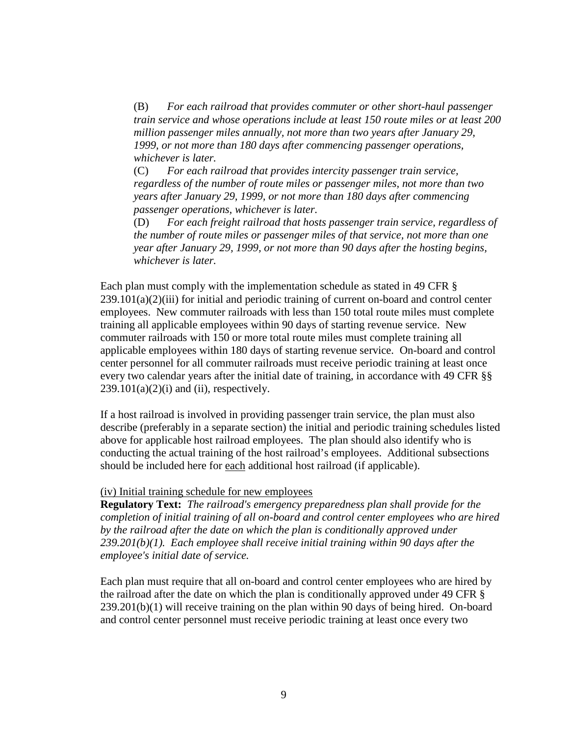(B) *For each railroad that provides commuter or other short-haul passenger train service and whose operations include at least 150 route miles or at least 200 million passenger miles annually, not more than two years after January 29, 1999, or not more than 180 days after commencing passenger operations, whichever is later.*

(C) *For each railroad that provides intercity passenger train service, regardless of the number of route miles or passenger miles, not more than two years after January 29, 1999, or not more than 180 days after commencing passenger operations, whichever is later.*

(D) *For each freight railroad that hosts passenger train service, regardless of the number of route miles or passenger miles of that service, not more than one year after January 29, 1999, or not more than 90 days after the hosting begins, whichever is later.*

Each plan must comply with the implementation schedule as stated in 49 CFR §  $239.101(a)(2)(iii)$  for initial and periodic training of current on-board and control center employees. New commuter railroads with less than 150 total route miles must complete training all applicable employees within 90 days of starting revenue service. New commuter railroads with 150 or more total route miles must complete training all applicable employees within 180 days of starting revenue service. On-board and control center personnel for all commuter railroads must receive periodic training at least once every two calendar years after the initial date of training, in accordance with 49 CFR §§  $239.101(a)(2)(i)$  and (ii), respectively.

If a host railroad is involved in providing passenger train service, the plan must also describe (preferably in a separate section) the initial and periodic training schedules listed above for applicable host railroad employees. The plan should also identify who is conducting the actual training of the host railroad's employees. Additional subsections should be included here for each additional host railroad (if applicable).

#### (iv) Initial training schedule for new employees

**Regulatory Text:** *The railroad's emergency preparedness plan shall provide for the completion of initial training of all on-board and control center employees who are hired*  by the railroad after the date on which the plan is conditionally approved under *239.201(b)(1). Each employee shall receive initial training within 90 days after the employee's initial date of service.*

Each plan must require that all on-board and control center employees who are hired by the railroad after the date on which the plan is conditionally approved under 49 CFR § 239.201(b)(1) will receive training on the plan within 90 days of being hired. On-board and control center personnel must receive periodic training at least once every two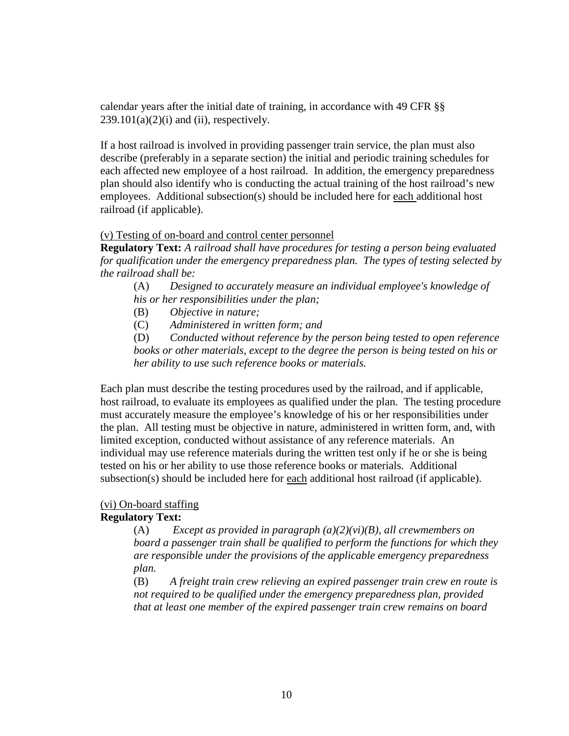calendar years after the initial date of training, in accordance with 49 CFR §§  $239.101(a)(2)(i)$  and (ii), respectively.

If a host railroad is involved in providing passenger train service, the plan must also describe (preferably in a separate section) the initial and periodic training schedules for each affected new employee of a host railroad. In addition, the emergency preparedness plan should also identify who is conducting the actual training of the host railroad's new employees. Additional subsection(s) should be included here for each additional host railroad (if applicable).

#### (v) Testing of on-board and control center personnel

**Regulatory Text:** *A railroad shall have procedures for testing a person being evaluated for qualification under the emergency preparedness plan. The types of testing selected by the railroad shall be:*

(A) *Designed to accurately measure an individual employee's knowledge of his or her responsibilities under the plan;*

- (B) *Objective in nature;*
- (C) *Administered in written form; and*

(D) *Conducted without reference by the person being tested to open reference books or other materials, except to the degree the person is being tested on his or her ability to use such reference books or materials.*

Each plan must describe the testing procedures used by the railroad, and if applicable, host railroad, to evaluate its employees as qualified under the plan. The testing procedure must accurately measure the employee's knowledge of his or her responsibilities under the plan. All testing must be objective in nature, administered in written form, and, with limited exception, conducted without assistance of any reference materials. An individual may use reference materials during the written test only if he or she is being tested on his or her ability to use those reference books or materials. Additional subsection(s) should be included here for each additional host railroad (if applicable).

## (vi) On-board staffing

#### **Regulatory Text:**

(A) *Except as provided in paragraph (a)(2)(vi)(B), all crewmembers on board a passenger train shall be qualified to perform the functions for which they are responsible under the provisions of the applicable emergency preparedness plan.*

(B) *A freight train crew relieving an expired passenger train crew en route is not required to be qualified under the emergency preparedness plan, provided that at least one member of the expired passenger train crew remains on board*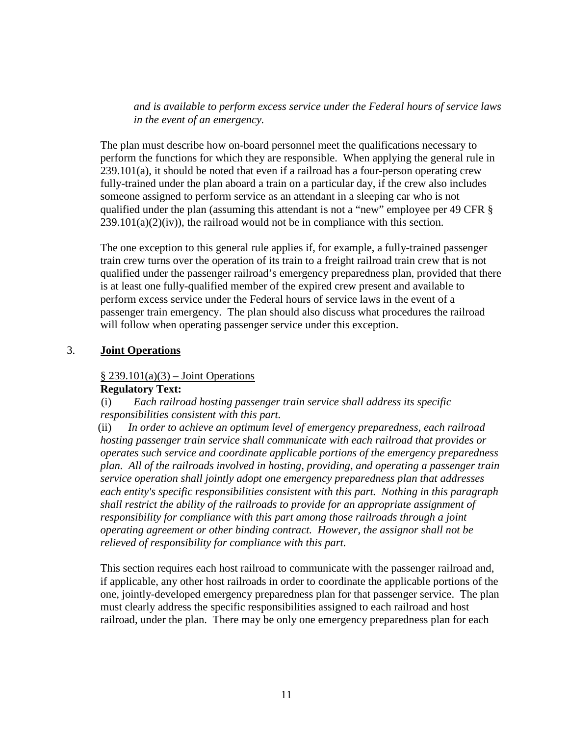*and is available to perform excess service under the Federal hours of service laws in the event of an emergency.*

The plan must describe how on-board personnel meet the qualifications necessary to perform the functions for which they are responsible. When applying the general rule in  $239.101(a)$ , it should be noted that even if a railroad has a four-person operating crew fully-trained under the plan aboard a train on a particular day, if the crew also includes someone assigned to perform service as an attendant in a sleeping car who is not qualified under the plan (assuming this attendant is not a "new" employee per 49 CFR §  $239.101(a)(2)(iv)$ , the railroad would not be in compliance with this section.

The one exception to this general rule applies if, for example, a fully-trained passenger train crew turns over the operation of its train to a freight railroad train crew that is not qualified under the passenger railroad's emergency preparedness plan, provided that there is at least one fully-qualified member of the expired crew present and available to perform excess service under the Federal hours of service laws in the event of a passenger train emergency. The plan should also discuss what procedures the railroad will follow when operating passenger service under this exception.

# 3. **Joint Operations**

## $§$  239.101(a)(3) – Joint Operations

## **Regulatory Text:**

(i) *Each railroad hosting passenger train service shall address its specific responsibilities consistent with this part.*

(ii) *In order to achieve an optimum level of emergency preparedness, each railroad hosting passenger train service shall communicate with each railroad that provides or operates such service and coordinate applicable portions of the emergency preparedness plan. All of the railroads involved in hosting, providing, and operating a passenger train service operation shall jointly adopt one emergency preparedness plan that addresses each entity's specific responsibilities consistent with this part. Nothing in this paragraph shall restrict the ability of the railroads to provide for an appropriate assignment of responsibility for compliance with this part among those railroads through a joint operating agreement or other binding contract. However, the assignor shall not be relieved of responsibility for compliance with this part.*

This section requires each host railroad to communicate with the passenger railroad and, if applicable, any other host railroads in order to coordinate the applicable portions of the one, jointly-developed emergency preparedness plan for that passenger service. The plan must clearly address the specific responsibilities assigned to each railroad and host railroad, under the plan. There may be only one emergency preparedness plan for each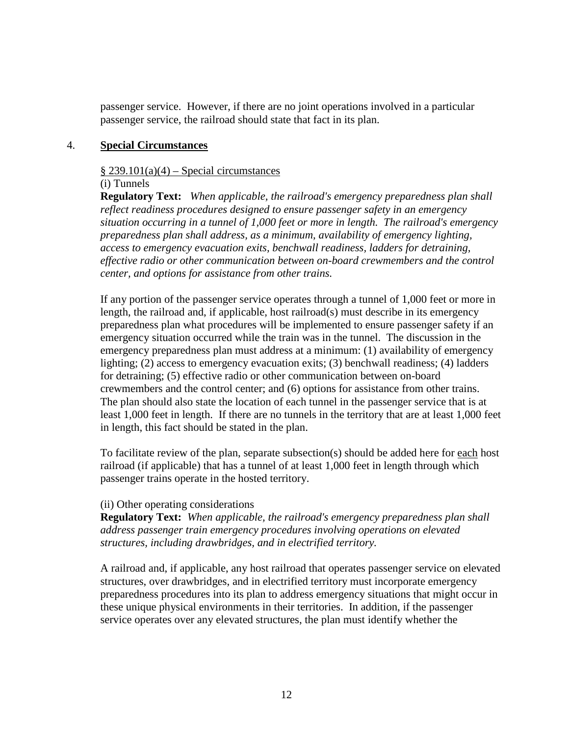passenger service. However, if there are no joint operations involved in a particular passenger service, the railroad should state that fact in its plan.

#### 4. **Special Circumstances**

#### $§$  239.101(a)(4) – Special circumstances

(i) Tunnels

**Regulatory Text:** *When applicable, the railroad's emergency preparedness plan shall reflect readiness procedures designed to ensure passenger safety in an emergency situation occurring in a tunnel of 1,000 feet or more in length. The railroad's emergency preparedness plan shall address, as a minimum, availability of emergency lighting, access to emergency evacuation exits, benchwall readiness, ladders for detraining, effective radio or other communication between on-board crewmembers and the control center, and options for assistance from other trains.*

If any portion of the passenger service operates through a tunnel of 1,000 feet or more in length, the railroad and, if applicable, host railroad(s) must describe in its emergency preparedness plan what procedures will be implemented to ensure passenger safety if an emergency situation occurred while the train was in the tunnel. The discussion in the emergency preparedness plan must address at a minimum: (1) availability of emergency lighting; (2) access to emergency evacuation exits; (3) benchwall readiness; (4) ladders for detraining; (5) effective radio or other communication between on-board crewmembers and the control center; and (6) options for assistance from other trains. The plan should also state the location of each tunnel in the passenger service that is at least 1,000 feet in length. If there are no tunnels in the territory that are at least 1,000 feet in length, this fact should be stated in the plan.

To facilitate review of the plan, separate subsection(s) should be added here for each host railroad (if applicable) that has a tunnel of at least 1,000 feet in length through which passenger trains operate in the hosted territory.

## (ii) Other operating considerations

**Regulatory Text:** *When applicable, the railroad's emergency preparedness plan shall address passenger train emergency procedures involving operations on elevated structures, including drawbridges, and in electrified territory.*

A railroad and, if applicable, any host railroad that operates passenger service on elevated structures, over drawbridges, and in electrified territory must incorporate emergency preparedness procedures into its plan to address emergency situations that might occur in these unique physical environments in their territories. In addition, if the passenger service operates over any elevated structures, the plan must identify whether the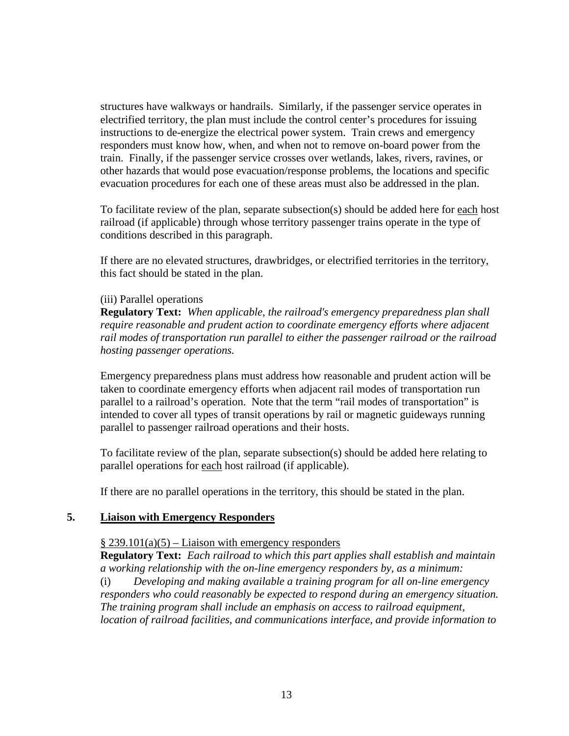structures have walkways or handrails. Similarly, if the passenger service operates in electrified territory, the plan must include the control center's procedures for issuing instructions to de-energize the electrical power system. Train crews and emergency responders must know how, when, and when not to remove on-board power from the train. Finally, if the passenger service crosses over wetlands, lakes, rivers, ravines, or other hazards that would pose evacuation/response problems, the locations and specific evacuation procedures for each one of these areas must also be addressed in the plan.

To facilitate review of the plan, separate subsection(s) should be added here for each host railroad (if applicable) through whose territory passenger trains operate in the type of conditions described in this paragraph.

If there are no elevated structures, drawbridges, or electrified territories in the territory, this fact should be stated in the plan.

## (iii) Parallel operations

**Regulatory Text:** *When applicable, the railroad's emergency preparedness plan shall require reasonable and prudent action to coordinate emergency efforts where adjacent rail modes of transportation run parallel to either the passenger railroad or the railroad hosting passenger operations.*

Emergency preparedness plans must address how reasonable and prudent action will be taken to coordinate emergency efforts when adjacent rail modes of transportation run parallel to a railroad's operation. Note that the term "rail modes of transportation" is intended to cover all types of transit operations by rail or magnetic guideways running parallel to passenger railroad operations and their hosts.

To facilitate review of the plan, separate subsection(s) should be added here relating to parallel operations for each host railroad (if applicable).

If there are no parallel operations in the territory, this should be stated in the plan.

## **5. Liaison with Emergency Responders**

## $§$  239.101(a)(5) – Liaison with emergency responders

**Regulatory Text:** *Each railroad to which this part applies shall establish and maintain a working relationship with the on-line emergency responders by, as a minimum:* (i) *Developing and making available a training program for all on-line emergency responders who could reasonably be expected to respond during an emergency situation. The training program shall include an emphasis on access to railroad equipment, location of railroad facilities, and communications interface, and provide information to*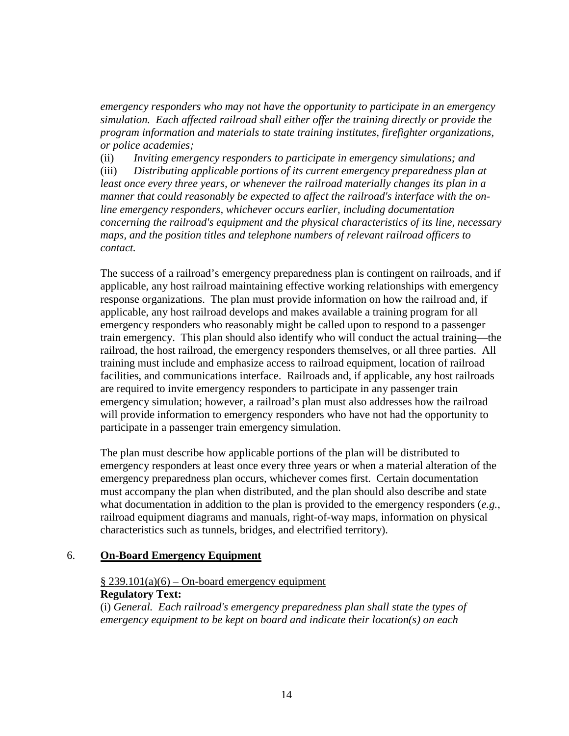*emergency responders who may not have the opportunity to participate in an emergency simulation. Each affected railroad shall either offer the training directly or provide the program information and materials to state training institutes, firefighter organizations, or police academies;*

(ii) *Inviting emergency responders to participate in emergency simulations; and* (iii) *Distributing applicable portions of its current emergency preparedness plan at least once every three years, or whenever the railroad materially changes its plan in a manner that could reasonably be expected to affect the railroad's interface with the online emergency responders, whichever occurs earlier, including documentation concerning the railroad's equipment and the physical characteristics of its line, necessary maps, and the position titles and telephone numbers of relevant railroad officers to contact.*

The success of a railroad's emergency preparedness plan is contingent on railroads, and if applicable, any host railroad maintaining effective working relationships with emergency response organizations. The plan must provide information on how the railroad and, if applicable, any host railroad develops and makes available a training program for all emergency responders who reasonably might be called upon to respond to a passenger train emergency. This plan should also identify who will conduct the actual training—the railroad, the host railroad, the emergency responders themselves, or all three parties. All training must include and emphasize access to railroad equipment, location of railroad facilities, and communications interface. Railroads and, if applicable, any host railroads are required to invite emergency responders to participate in any passenger train emergency simulation; however, a railroad's plan must also addresses how the railroad will provide information to emergency responders who have not had the opportunity to participate in a passenger train emergency simulation.

The plan must describe how applicable portions of the plan will be distributed to emergency responders at least once every three years or when a material alteration of the emergency preparedness plan occurs, whichever comes first. Certain documentation must accompany the plan when distributed, and the plan should also describe and state what documentation in addition to the plan is provided to the emergency responders (*e.g.*, railroad equipment diagrams and manuals, right-of-way maps, information on physical characteristics such as tunnels, bridges, and electrified territory).

## 6. **On-Board Emergency Equipment**

#### $§$  239.101(a)(6) – On-board emergency equipment

#### **Regulatory Text:**

(i) *General. Each railroad's emergency preparedness plan shall state the types of emergency equipment to be kept on board and indicate their location(s) on each*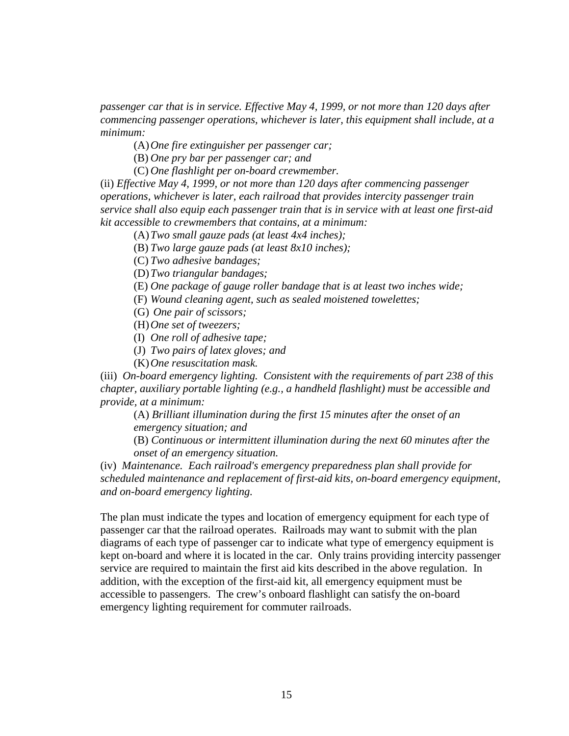*passenger car that is in service. Effective May 4, 1999, or not more than 120 days after commencing passenger operations, whichever is later, this equipment shall include, at a minimum:*

(A)*One fire extinguisher per passenger car;*

(B) *One pry bar per passenger car; and*

(C) *One flashlight per on-board crewmember.*

(ii) *Effective May 4, 1999, or not more than 120 days after commencing passenger operations, whichever is later, each railroad that provides intercity passenger train service shall also equip each passenger train that is in service with at least one first-aid kit accessible to crewmembers that contains, at a minimum:*

(A)*Two small gauze pads (at least 4x4 inches);*

(B) *Two large gauze pads (at least 8x10 inches);*

(C) *Two adhesive bandages;*

(D)*Two triangular bandages;*

(E) *One package of gauge roller bandage that is at least two inches wide;*

(F) *Wound cleaning agent, such as sealed moistened towelettes;*

(G) *One pair of scissors;*

(H)*One set of tweezers;*

(I) *One roll of adhesive tape;*

(J) *Two pairs of latex gloves; and*

(K)*One resuscitation mask.*

(iii) *On-board emergency lighting. Consistent with the requirements of part 238 of this chapter, auxiliary portable lighting (e.g., a handheld flashlight) must be accessible and provide, at a minimum:*

(A) *Brilliant illumination during the first 15 minutes after the onset of an emergency situation; and*

(B) *Continuous or intermittent illumination during the next 60 minutes after the onset of an emergency situation.*

(iv) *Maintenance. Each railroad's emergency preparedness plan shall provide for scheduled maintenance and replacement of first-aid kits, on-board emergency equipment, and on-board emergency lighting.*

The plan must indicate the types and location of emergency equipment for each type of passenger car that the railroad operates. Railroads may want to submit with the plan diagrams of each type of passenger car to indicate what type of emergency equipment is kept on-board and where it is located in the car. Only trains providing intercity passenger service are required to maintain the first aid kits described in the above regulation. In addition, with the exception of the first-aid kit, all emergency equipment must be accessible to passengers. The crew's onboard flashlight can satisfy the on-board emergency lighting requirement for commuter railroads.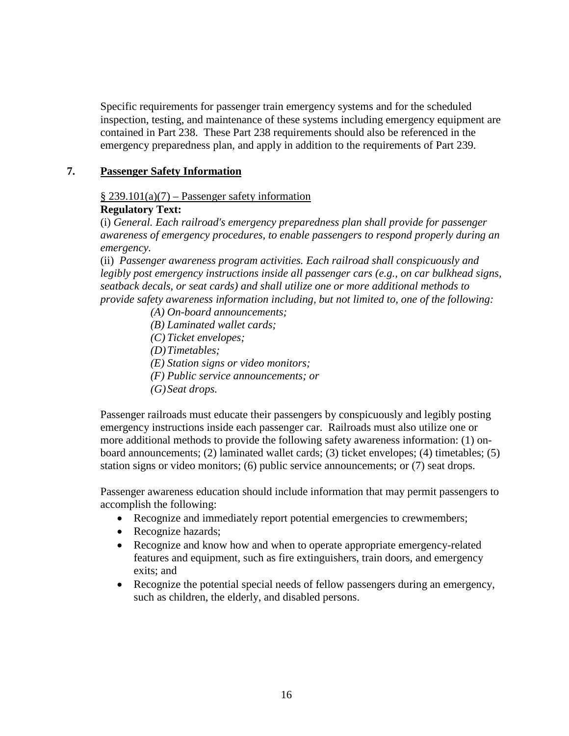Specific requirements for passenger train emergency systems and for the scheduled inspection, testing, and maintenance of these systems including emergency equipment are contained in Part 238. These Part 238 requirements should also be referenced in the emergency preparedness plan, and apply in addition to the requirements of Part 239.

# **7. Passenger Safety Information**

# $§ 239.101(a)(7) - Passenger safety information$

# **Regulatory Text:**

(i) *General. Each railroad's emergency preparedness plan shall provide for passenger awareness of emergency procedures, to enable passengers to respond properly during an emergency.*

(ii) *Passenger awareness program activities. Each railroad shall conspicuously and legibly post emergency instructions inside all passenger cars (e.g., on car bulkhead signs, seatback decals, or seat cards) and shall utilize one or more additional methods to provide safety awareness information including, but not limited to, one of the following:*

- *(A) On-board announcements;*
- *(B) Laminated wallet cards;*
- *(C) Ticket envelopes;*
- *(D)Timetables;*
- *(E) Station signs or video monitors;*
- *(F) Public service announcements; or*
- *(G)Seat drops.*

Passenger railroads must educate their passengers by conspicuously and legibly posting emergency instructions inside each passenger car. Railroads must also utilize one or more additional methods to provide the following safety awareness information: (1) onboard announcements; (2) laminated wallet cards; (3) ticket envelopes; (4) timetables; (5) station signs or video monitors; (6) public service announcements; or (7) seat drops.

Passenger awareness education should include information that may permit passengers to accomplish the following:

- Recognize and immediately report potential emergencies to crewmembers;
- Recognize hazards;
- Recognize and know how and when to operate appropriate emergency-related features and equipment, such as fire extinguishers, train doors, and emergency exits; and
- Recognize the potential special needs of fellow passengers during an emergency, such as children, the elderly, and disabled persons.